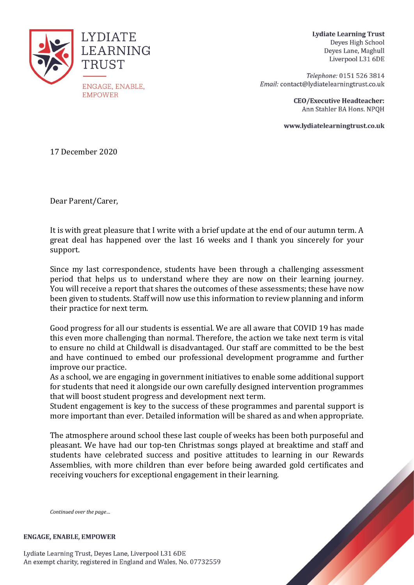

**Lydiate Learning Trust** Deyes High School Deves Lane, Maghull Liverpool L31 6DE

Telephone: 0151 526 3814 Email: contact@lydiatelearningtrust.co.uk

> **CEO/Executive Headteacher:** Ann Stahler BA Hons. NPQH

www.lydiatelearningtrust.co.uk

17 December 2020

Dear Parent/Carer,

It is with great pleasure that I write with a brief update at the end of our autumn term. A great deal has happened over the last 16 weeks and I thank you sincerely for your support.

Since my last correspondence, students have been through a challenging assessment period that helps us to understand where they are now on their learning journey. You will receive a report that shares the outcomes of these assessments; these have now been given to students. Staff will now use this information to review planning and inform their practice for next term.

Good progress for all our students is essential. We are all aware that COVID 19 has made this even more challenging than normal. Therefore, the action we take next term is vital to ensure no child at Childwall is disadvantaged. Our staff are committed to be the best and have continued to embed our professional development programme and further improve our practice.

As a school, we are engaging in government initiatives to enable some additional support for students that need it alongside our own carefully designed intervention programmes that will boost student progress and development next term.

Student engagement is key to the success of these programmes and parental support is more important than ever. Detailed information will be shared as and when appropriate.

The atmosphere around school these last couple of weeks has been both purposeful and pleasant. We have had our top-ten Christmas songs played at breaktime and staff and students have celebrated success and positive attitudes to learning in our Rewards Assemblies, with more children than ever before being awarded gold certificates and receiving vouchers for exceptional engagement in their learning.

*Continued over the page…*

**ENGAGE, ENABLE, EMPOWER** 

Lydiate Learning Trust, Deyes Lane, Liverpool L31 6DE An exempt charity, registered in England and Wales, No. 07732559